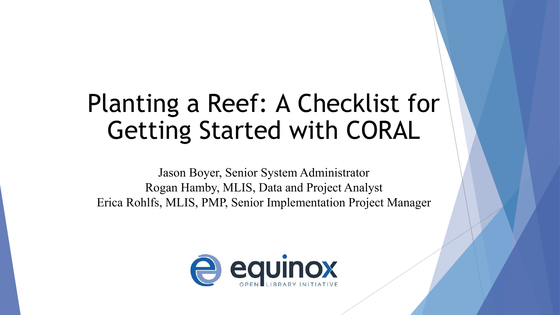## Planting a Reef: A Checklist for Getting Started with CORAL

Jason Boyer, Senior System Administrator Rogan Hamby, MLIS, Data and Project Analyst Erica Rohlfs, MLIS, PMP, Senior Implementation Project Manager

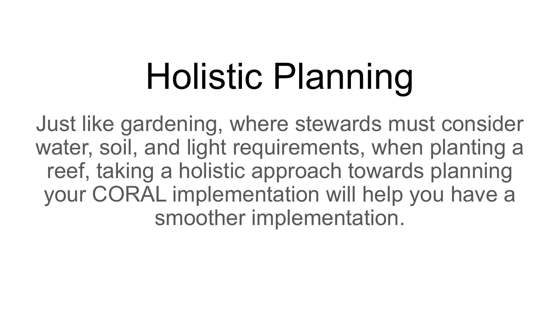## Holistic Planning

Just like gardening, where stewards must consider water, soil, and light requirements, when planting a reef, taking a holistic approach towards planning your CORAL implementation will help you have a smoother implementation.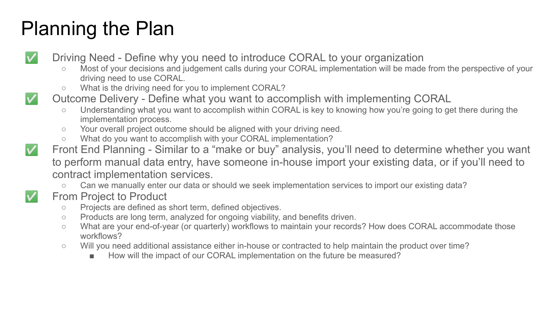#### Planning the Plan

Driving Need - Define why you need to introduce CORAL to your organization

- Most of your decisions and judgement calls during your CORAL implementation will be made from the perspective of your driving need to use CORAL.
- What is the driving need for you to implement CORAL?
- 

Outcome Delivery - Define what you want to accomplish with implementing CORAL

- Understanding what you want to accomplish within CORAL is key to knowing how you're going to get there during the implementation process.
- Your overall project outcome should be aligned with your driving need.
- What do you want to accomplish with your CORAL implementation?
- Front End Planning Similar to a "make or buy" analysis, you'll need to determine whether you want to perform manual data entry, have someone in-house import your existing data, or if you'll need to contract implementation services.

○ Can we manually enter our data or should we seek implementation services to import our existing data?

- From Project to Product
	- Projects are defined as short term, defined objectives.
	- Products are long term, analyzed for ongoing viability, and benefits driven.
	- What are your end-of-year (or quarterly) workflows to maintain your records? How does CORAL accommodate those workflows?
	- Will you need additional assistance either in-house or contracted to help maintain the product over time?
		- How will the impact of our CORAL implementation on the future be measured?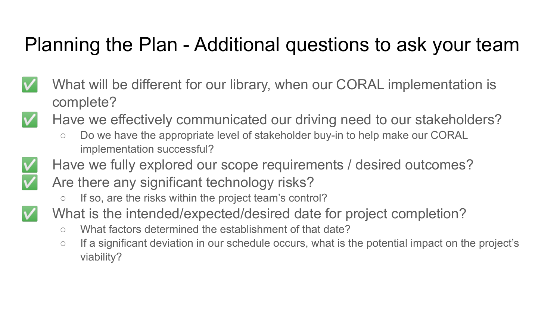#### Planning the Plan - Additional questions to ask your team

- What will be different for our library, when our CORAL implementation is complete?
	- Have we effectively communicated our driving need to our stakeholders?
		- Do we have the appropriate level of stakeholder buy-in to help make our CORAL implementation successful?



- Have we fully explored our scope requirements / desired outcomes?
- Are there any significant technology risks? ○ If so, are the risks within the project team's control?



- What is the intended/expected/desired date for project completion?
	- What factors determined the establishment of that date?
	- If a significant deviation in our schedule occurs, what is the potential impact on the project's viability?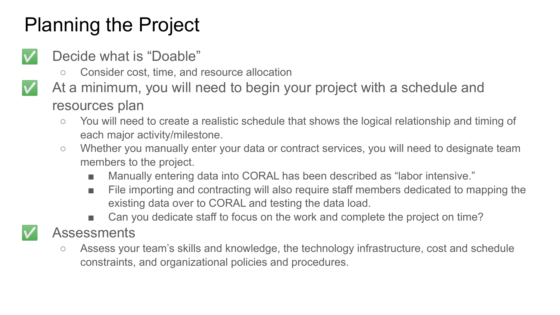#### Planning the Project

- Decide what is "Doable"
	- Consider cost, time, and resource allocation
- 

At a minimum, you will need to begin your project with a schedule and resources plan

- You will need to create a realistic schedule that shows the logical relationship and timing of each major activity/milestone.
- Whether you manually enter your data or contract services, you will need to designate team members to the project.
	- Manually entering data into CORAL has been described as "labor intensive."
	- File importing and contracting will also require staff members dedicated to mapping the existing data over to CORAL and testing the data load.
	- Can you dedicate staff to focus on the work and complete the project on time?
- Assessments
	- Assess your team's skills and knowledge, the technology infrastructure, cost and schedule constraints, and organizational policies and procedures.

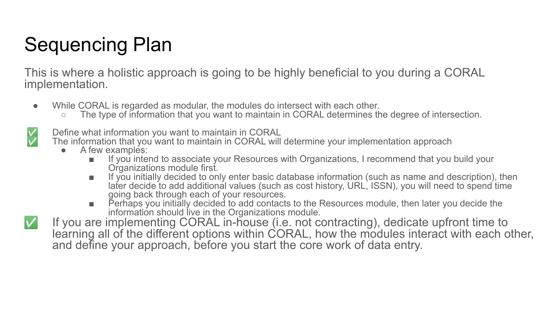### Sequencing Plan

This is where a holistic approach is going to be highly beneficial to you during a CORAL implementation.

- While CORAL is regarded as modular, the modules do intersect with each other.
	- $\circ$  The type of information that you want to maintain in CORAL determines the degree of intersection.

Define what information you want to maintain in CORAL

The information that you want to maintain in CORAL will determine your implementation approach

- A few examples:
	- If you intend to associate your Resources with Organizations, I recommend that you build your Organizations module first.
	- If you initially decided to only enter basic database information (such as name and description), then later decide to add additional values (such as cost history, URL, ISSN), you will need to spend time going back through each of your resources.
	- Perhaps you initially decided to add contacts to the Resources module, then later you decide the information should live in the Organizations module.
- If you are implementing CORAL in-house (i.e. not contracting), dedicate upfront time to learning all of the different options within CORAL, how the modules interact with each other, and define your approach, before you start the core work of data entry.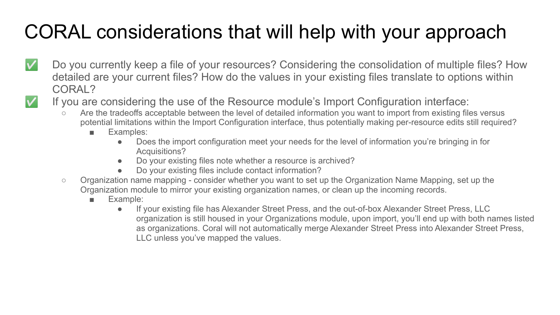## CORAL considerations that will help with your approach

- Do you currently keep a file of your resources? Considering the consolidation of multiple files? How  $\checkmark$ detailed are your current files? How do the values in your existing files translate to options within CORAL?
	- If you are considering the use of the Resource module's Import Configuration interface:
		- Are the tradeoffs acceptable between the level of detailed information you want to import from existing files versus potential limitations within the Import Configuration interface, thus potentially making per-resource edits still required?
			- Examples:
				- Does the import configuration meet your needs for the level of information you're bringing in for Acquisitions?
				- Do your existing files note whether a resource is archived?
				- Do your existing files include contact information?
		- Organization name mapping consider whether you want to set up the Organization Name Mapping, set up the Organization module to mirror your existing organization names, or clean up the incoming records.
			- Example:
				- If your existing file has Alexander Street Press, and the out-of-box Alexander Street Press, LLC organization is still housed in your Organizations module, upon import, you'll end up with both names listed as organizations. Coral will not automatically merge Alexander Street Press into Alexander Street Press, LLC unless you've mapped the values.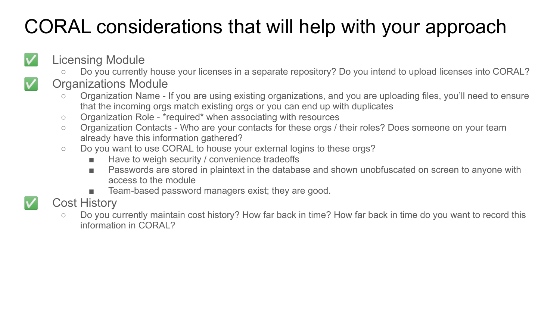## CORAL considerations that will help with your approach

#### Licensing Module

Do you currently house your licenses in a separate repository? Do you intend to upload licenses into CORAL?

#### Organizations Module

- Organization Name If you are using existing organizations, and you are uploading files, you'll need to ensure that the incoming orgs match existing orgs or you can end up with duplicates
- Organization Role \*required\* when associating with resources
- Organization Contacts Who are your contacts for these orgs / their roles? Does someone on your team already have this information gathered?
- Do you want to use CORAL to house your external logins to these orgs?
	- Have to weigh security / convenience tradeoffs
	- Passwords are stored in plaintext in the database and shown unobfuscated on screen to anyone with access to the module
	- Team-based password managers exist; they are good.

#### Cost History

○ Do you currently maintain cost history? How far back in time? How far back in time do you want to record this information in CORAL?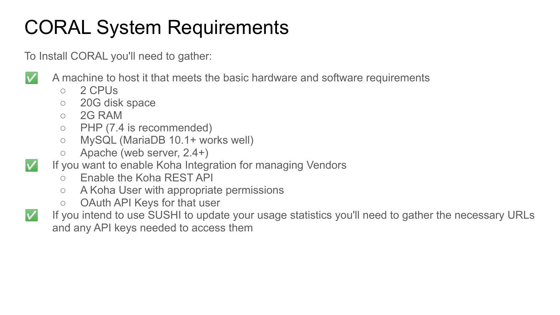## CORAL System Requirements

To Install CORAL you'll need to gather:



A machine to host it that meets the basic hardware and software requirements

- 2 CPUs
- 20G disk space
- $\circ$  2G RAM
- PHP (7.4 is recommended)
- MySQL (MariaDB 10.1+ works well)
- Apache (web server, 2.4+)
- If you want to enable Koha Integration for managing Vendors
	- Enable the Koha REST API
	- A Koha User with appropriate permissions
	- OAuth API Keys for that user



If you intend to use SUSHI to update your usage statistics you'll need to gather the necessary URLs and any API keys needed to access them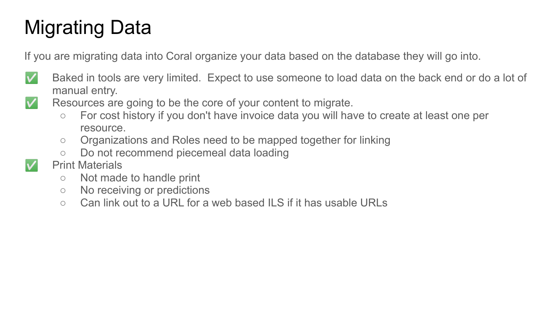### Migrating Data

If you are migrating data into Coral organize your data based on the database they will go into.

- 
- Baked in tools are very limited. Expect to use someone to load data on the back end or do a lot of manual entry.
- 
- Resources are going to be the core of your content to migrate.
	- For cost history if you don't have invoice data you will have to create at least one per resource.
	- Organizations and Roles need to be mapped together for linking
	- Do not recommend piecemeal data loading
- Print Materials
	- Not made to handle print
	- No receiving or predictions
	- Can link out to a URL for a web based ILS if it has usable URLs